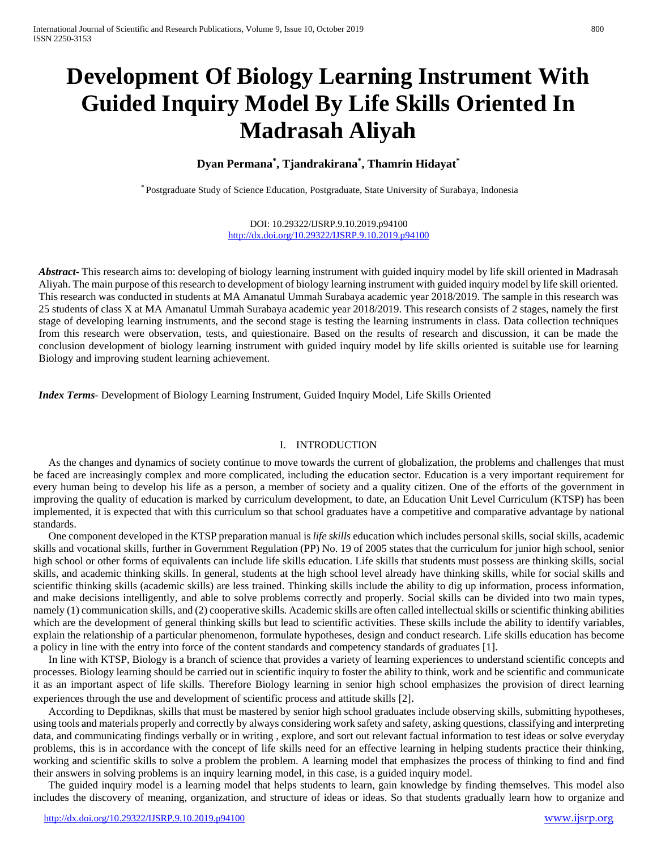# **Development Of Biology Learning Instrument With Guided Inquiry Model By Life Skills Oriented In Madrasah Aliyah**

# **Dyan Permana\* , Tjandrakirana\* , Thamrin Hidayat\***

\* Postgraduate Study of Science Education, Postgraduate, State University of Surabaya, Indonesia

DOI: 10.29322/IJSRP.9.10.2019.p94100 <http://dx.doi.org/10.29322/IJSRP.9.10.2019.p94100>

*Abstract* This research aims to: developing of biology learning instrument with guided inquiry model by life skill oriented in Madrasah Aliyah. The main purpose of this research to development of biology learning instrument with guided inquiry model by life skill oriented. This research was conducted in students at MA Amanatul Ummah Surabaya academic year 2018/2019. The sample in this research was 25 students of class X at MA Amanatul Ummah Surabaya academic year 2018/2019. This research consists of 2 stages, namely the first stage of developing learning instruments, and the second stage is testing the learning instruments in class. Data collection techniques from this research were observation, tests, and quiestionaire. Based on the results of research and discussion, it can be made the conclusion development of biology learning instrument with guided inquiry model by life skills oriented is suitable use for learning Biology and improving student learning achievement.

*Index Terms*- Development of Biology Learning Instrument, Guided Inquiry Model, Life Skills Oriented

### I. INTRODUCTION

As the changes and dynamics of society continue to move towards the current of globalization, the problems and challenges that must be faced are increasingly complex and more complicated, including the education sector. Education is a very important requirement for every human being to develop his life as a person, a member of society and a quality citizen. One of the efforts of the government in improving the quality of education is marked by curriculum development, to date, an Education Unit Level Curriculum (KTSP) has been implemented, it is expected that with this curriculum so that school graduates have a competitive and comparative advantage by national standards.

One component developed in the KTSP preparation manual is *life skills* education which includes personal skills, social skills, academic skills and vocational skills, further in Government Regulation (PP) No. 19 of 2005 states that the curriculum for junior high school, senior high school or other forms of equivalents can include life skills education. Life skills that students must possess are thinking skills, social skills, and academic thinking skills. In general, students at the high school level already have thinking skills, while for social skills and scientific thinking skills (academic skills) are less trained. Thinking skills include the ability to dig up information, process information, and make decisions intelligently, and able to solve problems correctly and properly. Social skills can be divided into two main types, namely (1) communication skills, and (2) cooperative skills. Academic skills are often called intellectual skills or scientific thinking abilities which are the development of general thinking skills but lead to scientific activities. These skills include the ability to identify variables, explain the relationship of a particular phenomenon, formulate hypotheses, design and conduct research. Life skills education has become a policy in line with the entry into force of the content standards and competency standards of graduates [1].

In line with KTSP, Biology is a branch of science that provides a variety of learning experiences to understand scientific concepts and processes. Biology learning should be carried out in scientific inquiry to foster the ability to think, work and be scientific and communicate it as an important aspect of life skills. Therefore Biology learning in senior high school emphasizes the provision of direct learning experiences through the use and development of scientific process and attitude skills [2].

According to Depdiknas, skills that must be mastered by senior high school graduates include observing skills, submitting hypotheses, using tools and materials properly and correctly by always considering work safety and safety, asking questions, classifying and interpreting data, and communicating findings verbally or in writing , explore, and sort out relevant factual information to test ideas or solve everyday problems, this is in accordance with the concept of life skills need for an effective learning in helping students practice their thinking, working and scientific skills to solve a problem the problem. A learning model that emphasizes the process of thinking to find and find their answers in solving problems is an inquiry learning model, in this case, is a guided inquiry model.

The guided inquiry model is a learning model that helps students to learn, gain knowledge by finding themselves. This model also includes the discovery of meaning, organization, and structure of ideas or ideas. So that students gradually learn how to organize and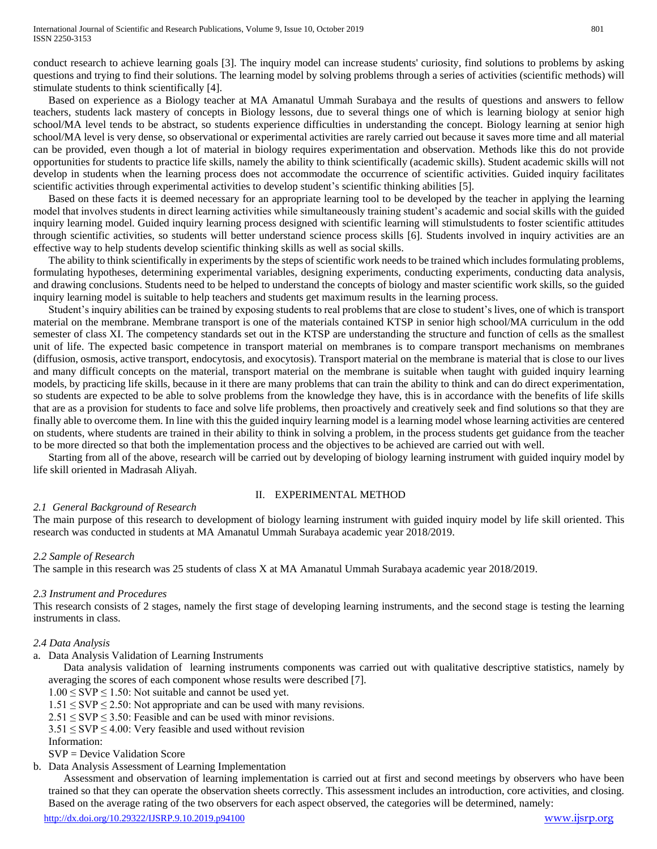conduct research to achieve learning goals [3]. The inquiry model can increase students' curiosity, find solutions to problems by asking questions and trying to find their solutions. The learning model by solving problems through a series of activities (scientific methods) will stimulate students to think scientifically [4].

Based on experience as a Biology teacher at MA Amanatul Ummah Surabaya and the results of questions and answers to fellow teachers, students lack mastery of concepts in Biology lessons, due to several things one of which is learning biology at senior high school/MA level tends to be abstract, so students experience difficulties in understanding the concept. Biology learning at senior high school/MA level is very dense, so observational or experimental activities are rarely carried out because it saves more time and all material can be provided, even though a lot of material in biology requires experimentation and observation. Methods like this do not provide opportunities for students to practice life skills, namely the ability to think scientifically (academic skills). Student academic skills will not develop in students when the learning process does not accommodate the occurrence of scientific activities. Guided inquiry facilitates scientific activities through experimental activities to develop student's scientific thinking abilities [5].

Based on these facts it is deemed necessary for an appropriate learning tool to be developed by the teacher in applying the learning model that involves students in direct learning activities while simultaneously training student's academic and social skills with the guided inquiry learning model. Guided inquiry learning process designed with scientific learning will stimulstudents to foster scientific attitudes through scientific activities, so students will better understand science process skills [6]. Students involved in inquiry activities are an effective way to help students develop scientific thinking skills as well as social skills.

The ability to think scientifically in experiments by the steps of scientific work needs to be trained which includes formulating problems, formulating hypotheses, determining experimental variables, designing experiments, conducting experiments, conducting data analysis, and drawing conclusions. Students need to be helped to understand the concepts of biology and master scientific work skills, so the guided inquiry learning model is suitable to help teachers and students get maximum results in the learning process.

Student's inquiry abilities can be trained by exposing students to real problems that are close to student's lives, one of which is transport material on the membrane. Membrane transport is one of the materials contained KTSP in senior high school/MA curriculum in the odd semester of class XI. The competency standards set out in the KTSP are understanding the structure and function of cells as the smallest unit of life. The expected basic competence in transport material on membranes is to compare transport mechanisms on membranes (diffusion, osmosis, active transport, endocytosis, and exocytosis). Transport material on the membrane is material that is close to our lives and many difficult concepts on the material, transport material on the membrane is suitable when taught with guided inquiry learning models, by practicing life skills, because in it there are many problems that can train the ability to think and can do direct experimentation, so students are expected to be able to solve problems from the knowledge they have, this is in accordance with the benefits of life skills that are as a provision for students to face and solve life problems, then proactively and creatively seek and find solutions so that they are finally able to overcome them. In line with this the guided inquiry learning model is a learning model whose learning activities are centered on students, where students are trained in their ability to think in solving a problem, in the process students get guidance from the teacher to be more directed so that both the implementation process and the objectives to be achieved are carried out with well.

Starting from all of the above, research will be carried out by developing of biology learning instrument with guided inquiry model by life skill oriented in Madrasah Aliyah.

# II. EXPERIMENTAL METHOD

### *2.1 General Background of Research*

The main purpose of this research to development of biology learning instrument with guided inquiry model by life skill oriented. This research was conducted in students at MA Amanatul Ummah Surabaya academic year 2018/2019.

### *2.2 Sample of Research*

The sample in this research was 25 students of class X at MA Amanatul Ummah Surabaya academic year 2018/2019.

### *2.3 Instrument and Procedures*

This research consists of 2 stages, namely the first stage of developing learning instruments, and the second stage is testing the learning instruments in class.

### *2.4 Data Analysis*

a. Data Analysis Validation of Learning Instruments

Data analysis validation of learning instruments components was carried out with qualitative descriptive statistics, namely by averaging the scores of each component whose results were described [7].

- $1.00 \leq$  SVP  $\leq$  1.50: Not suitable and cannot be used yet.
- $1.51 \leq$  SVP  $\leq$  2.50: Not appropriate and can be used with many revisions.
- $2.51 \leq$  SVP  $\leq$  3.50: Feasible and can be used with minor revisions.
- $3.51 \leq$  SVP  $\leq$  4.00: Very feasible and used without revision
- Information:

## SVP = Device Validation Score

b. Data Analysis Assessment of Learning Implementation

Assessment and observation of learning implementation is carried out at first and second meetings by observers who have been trained so that they can operate the observation sheets correctly. This assessment includes an introduction, core activities, and closing. Based on the average rating of the two observers for each aspect observed, the categories will be determined, namely: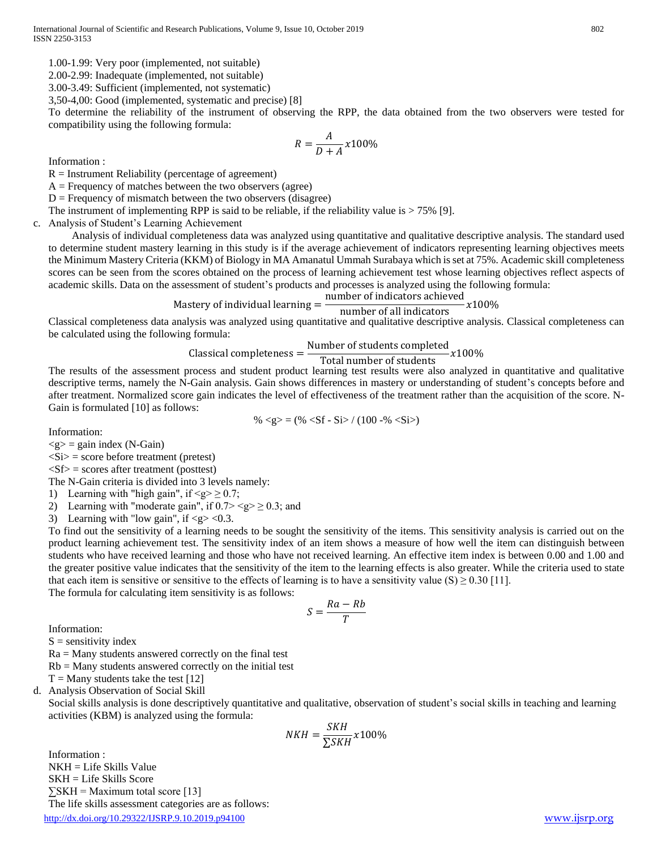1.00-1.99: Very poor (implemented, not suitable)

2.00-2.99: Inadequate (implemented, not suitable)

3.00-3.49: Sufficient (implemented, not systematic)

3,50-4,00: Good (implemented, systematic and precise) [8]

To determine the reliability of the instrument of observing the RPP, the data obtained from the two observers were tested for compatibility using the following formula:

$$
R = \frac{A}{D+A}x100\%
$$

Information :

 $R =$  Instrument Reliability (percentage of agreement)

 $A =$  Frequency of matches between the two observers (agree)

 $D =$  Frequency of mismatch between the two observers (disagree)

The instrument of implementing RPP is said to be reliable, if the reliability value is  $> 75\%$  [9].

c. Analysis of Student's Learning Achievement

Analysis of individual completeness data was analyzed using quantitative and qualitative descriptive analysis. The standard used to determine student mastery learning in this study is if the average achievement of indicators representing learning objectives meets the Minimum Mastery Criteria (KKM) of Biology in MA Amanatul Ummah Surabaya which is set at 75%. Academic skill completeness scores can be seen from the scores obtained on the process of learning achievement test whose learning objectives reflect aspects of academic skills. Data on the assessment of student's products and processes is analyzed using the following formula:

Mastery of individual learning = number of indicators achieved  $\frac{1}{\text{number of all indicators}}$   $x100\%$ 

Classical completeness data analysis was analyzed using quantitative and qualitative descriptive analysis. Classical completeness can be calculated using the following formula:

Number of students completed<br> $x100\%$ 

#### Classical completeness = Total number of students

The results of the assessment process and student product learning test results were also analyzed in quantitative and qualitative descriptive terms, namely the N-Gain analysis. Gain shows differences in mastery or understanding of student's concepts before and after treatment. Normalized score gain indicates the level of effectiveness of the treatment rather than the acquisition of the score. N-Gain is formulated [10] as follows:

%  $\langle \text{g} \rangle = (\% \langle \text{Sf} \cdot \text{Si} \rangle / (100 - \% \langle \text{Si} \rangle))$ 

Information:

 $\langle \text{g} \rangle$  = gain index (N-Gain)

 $\langle$ Si $\rangle$  = score before treatment (pretest)

 $\langle Sf \rangle$  = scores after treatment (posttest)

The N-Gain criteria is divided into 3 levels namely:

1) Learning with "high gain", if  $\langle g \rangle \ge 0.7$ ;

2) Learning with "moderate gain", if  $0.7 > \le g \ge 0.3$ ; and

3) Learning with "low gain", if  $\langle g \rangle \langle 0.3$ .

To find out the sensitivity of a learning needs to be sought the sensitivity of the items. This sensitivity analysis is carried out on the product learning achievement test. The sensitivity index of an item shows a measure of how well the item can distinguish between students who have received learning and those who have not received learning. An effective item index is between 0.00 and 1.00 and the greater positive value indicates that the sensitivity of the item to the learning effects is also greater. While the criteria used to state that each item is sensitive or sensitive to the effects of learning is to have a sensitivity value (S)  $\geq$  0.30 [11].

The formula for calculating item sensitivity is as follows:

$$
S = \frac{Ra - Rb}{T}
$$

Information:

 $S =$  sensitivity index

 $Ra =$  Many students answered correctly on the final test

 $Rb =$  Many students answered correctly on the initial test

 $T =$  Many students take the test [12]

d. Analysis Observation of Social Skill

Social skills analysis is done descriptively quantitative and qualitative, observation of student's social skills in teaching and learning activities (KBM) is analyzed using the formula:

$$
NKH = \frac{SKH}{\sum SKH} x100\%
$$

<http://dx.doi.org/10.29322/IJSRP.9.10.2019.p94100> [www.ijsrp.org](http://ijsrp.org/) Information : NKH = Life Skills Value SKH = Life Skills Score  $\Sigma$ SKH = Maximum total score [13] The life skills assessment categories are as follows: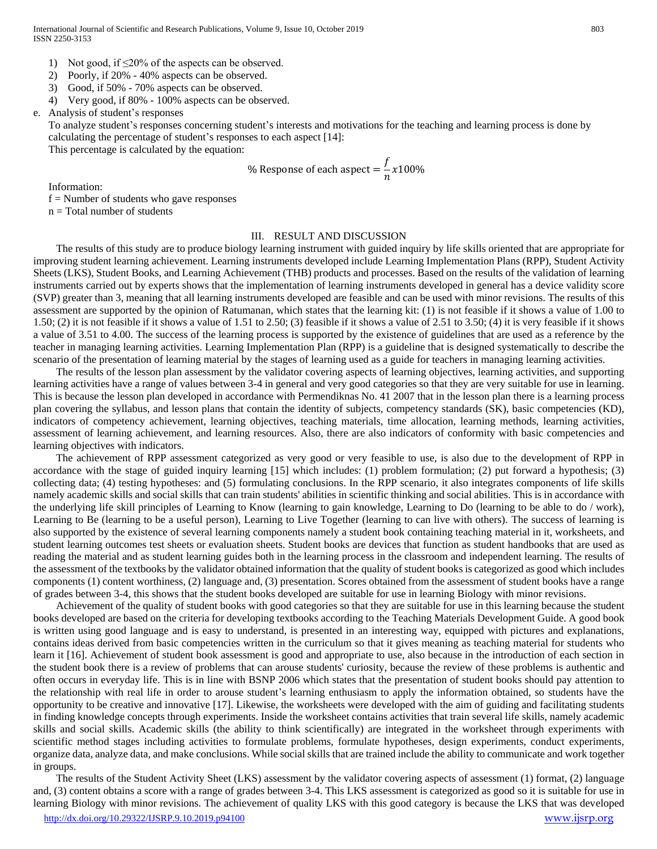- 1) Not good, if  $\leq$ 20% of the aspects can be observed.
- 2) Poorly, if 20% 40% aspects can be observed.
- 3) Good, if 50% 70% aspects can be observed.
- 4) Very good, if 80% 100% aspects can be observed.

e. Analysis of student's responses

To analyze student's responses concerning student's interests and motivations for the teaching and learning process is done by calculating the percentage of student's responses to each aspect [14]:

This percentage is calculated by the equation:

% Response of each aspect = 
$$
\frac{f}{n}x100\%
$$

Information:

f = Number of students who gave responses

 $n = Total number of students$ 

### III. RESULT AND DISCUSSION

The results of this study are to produce biology learning instrument with guided inquiry by life skills oriented that are appropriate for improving student learning achievement. Learning instruments developed include Learning Implementation Plans (RPP), Student Activity Sheets (LKS), Student Books, and Learning Achievement (THB) products and processes. Based on the results of the validation of learning instruments carried out by experts shows that the implementation of learning instruments developed in general has a device validity score (SVP) greater than 3, meaning that all learning instruments developed are feasible and can be used with minor revisions. The results of this assessment are supported by the opinion of Ratumanan, which states that the learning kit: (1) is not feasible if it shows a value of 1.00 to 1.50; (2) it is not feasible if it shows a value of 1.51 to 2.50; (3) feasible if it shows a value of 2.51 to 3.50; (4) it is very feasible if it shows a value of 3.51 to 4.00. The success of the learning process is supported by the existence of guidelines that are used as a reference by the teacher in managing learning activities. Learning Implementation Plan (RPP) is a guideline that is designed systematically to describe the scenario of the presentation of learning material by the stages of learning used as a guide for teachers in managing learning activities.

The results of the lesson plan assessment by the validator covering aspects of learning objectives, learning activities, and supporting learning activities have a range of values between 3-4 in general and very good categories so that they are very suitable for use in learning. This is because the lesson plan developed in accordance with Permendiknas No. 41 2007 that in the lesson plan there is a learning process plan covering the syllabus, and lesson plans that contain the identity of subjects, competency standards (SK), basic competencies (KD), indicators of competency achievement, learning objectives, teaching materials, time allocation, learning methods, learning activities, assessment of learning achievement, and learning resources. Also, there are also indicators of conformity with basic competencies and learning objectives with indicators.

The achievement of RPP assessment categorized as very good or very feasible to use, is also due to the development of RPP in accordance with the stage of guided inquiry learning [15] which includes: (1) problem formulation; (2) put forward a hypothesis; (3) collecting data; (4) testing hypotheses: and (5) formulating conclusions. In the RPP scenario, it also integrates components of life skills namely academic skills and social skills that can train students' abilities in scientific thinking and social abilities. This is in accordance with the underlying life skill principles of Learning to Know (learning to gain knowledge, Learning to Do (learning to be able to do / work), Learning to Be (learning to be a useful person), Learning to Live Together (learning to can live with others). The success of learning is also supported by the existence of several learning components namely a student book containing teaching material in it, worksheets, and student learning outcomes test sheets or evaluation sheets. Student books are devices that function as student handbooks that are used as reading the material and as student learning guides both in the learning process in the classroom and independent learning. The results of the assessment of the textbooks by the validator obtained information that the quality of student books is categorized as good which includes components (1) content worthiness, (2) language and, (3) presentation. Scores obtained from the assessment of student books have a range of grades between 3-4, this shows that the student books developed are suitable for use in learning Biology with minor revisions.

Achievement of the quality of student books with good categories so that they are suitable for use in this learning because the student books developed are based on the criteria for developing textbooks according to the Teaching Materials Development Guide. A good book is written using good language and is easy to understand, is presented in an interesting way, equipped with pictures and explanations, contains ideas derived from basic competencies written in the curriculum so that it gives meaning as teaching material for students who learn it [16]. Achievement of student book assessment is good and appropriate to use, also because in the introduction of each section in the student book there is a review of problems that can arouse students' curiosity, because the review of these problems is authentic and often occurs in everyday life. This is in line with BSNP 2006 which states that the presentation of student books should pay attention to the relationship with real life in order to arouse student's learning enthusiasm to apply the information obtained, so students have the opportunity to be creative and innovative [17]. Likewise, the worksheets were developed with the aim of guiding and facilitating students in finding knowledge concepts through experiments. Inside the worksheet contains activities that train several life skills, namely academic skills and social skills. Academic skills (the ability to think scientifically) are integrated in the worksheet through experiments with scientific method stages including activities to formulate problems, formulate hypotheses, design experiments, conduct experiments, organize data, analyze data, and make conclusions. While social skills that are trained include the ability to communicate and work together in groups.

The results of the Student Activity Sheet (LKS) assessment by the validator covering aspects of assessment (1) format, (2) language and, (3) content obtains a score with a range of grades between 3-4. This LKS assessment is categorized as good so it is suitable for use in learning Biology with minor revisions. The achievement of quality LKS with this good category is because the LKS that was developed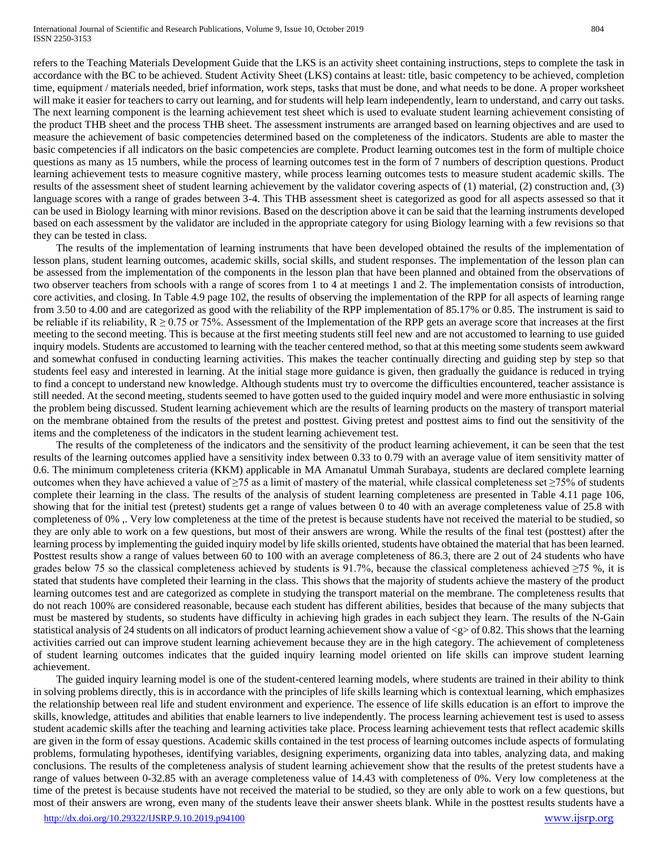refers to the Teaching Materials Development Guide that the LKS is an activity sheet containing instructions, steps to complete the task in accordance with the BC to be achieved. Student Activity Sheet (LKS) contains at least: title, basic competency to be achieved, completion time, equipment / materials needed, brief information, work steps, tasks that must be done, and what needs to be done. A proper worksheet will make it easier for teachers to carry out learning, and for students will help learn independently, learn to understand, and carry out tasks. The next learning component is the learning achievement test sheet which is used to evaluate student learning achievement consisting of the product THB sheet and the process THB sheet. The assessment instruments are arranged based on learning objectives and are used to measure the achievement of basic competencies determined based on the completeness of the indicators. Students are able to master the basic competencies if all indicators on the basic competencies are complete. Product learning outcomes test in the form of multiple choice questions as many as 15 numbers, while the process of learning outcomes test in the form of 7 numbers of description questions. Product learning achievement tests to measure cognitive mastery, while process learning outcomes tests to measure student academic skills. The

results of the assessment sheet of student learning achievement by the validator covering aspects of (1) material, (2) construction and, (3) language scores with a range of grades between 3-4. This THB assessment sheet is categorized as good for all aspects assessed so that it can be used in Biology learning with minor revisions. Based on the description above it can be said that the learning instruments developed based on each assessment by the validator are included in the appropriate category for using Biology learning with a few revisions so that they can be tested in class.

The results of the implementation of learning instruments that have been developed obtained the results of the implementation of lesson plans, student learning outcomes, academic skills, social skills, and student responses. The implementation of the lesson plan can be assessed from the implementation of the components in the lesson plan that have been planned and obtained from the observations of two observer teachers from schools with a range of scores from 1 to 4 at meetings 1 and 2. The implementation consists of introduction, core activities, and closing. In Table 4.9 page 102, the results of observing the implementation of the RPP for all aspects of learning range from 3.50 to 4.00 and are categorized as good with the reliability of the RPP implementation of 85.17% or 0.85. The instrument is said to be reliable if its reliability,  $R \geq 0.75$  or 75%. Assessment of the Implementation of the RPP gets an average score that increases at the first meeting to the second meeting. This is because at the first meeting students still feel new and are not accustomed to learning to use guided inquiry models. Students are accustomed to learning with the teacher centered method, so that at this meeting some students seem awkward and somewhat confused in conducting learning activities. This makes the teacher continually directing and guiding step by step so that students feel easy and interested in learning. At the initial stage more guidance is given, then gradually the guidance is reduced in trying to find a concept to understand new knowledge. Although students must try to overcome the difficulties encountered, teacher assistance is still needed. At the second meeting, students seemed to have gotten used to the guided inquiry model and were more enthusiastic in solving the problem being discussed. Student learning achievement which are the results of learning products on the mastery of transport material on the membrane obtained from the results of the pretest and posttest. Giving pretest and posttest aims to find out the sensitivity of the items and the completeness of the indicators in the student learning achievement test.

The results of the completeness of the indicators and the sensitivity of the product learning achievement, it can be seen that the test results of the learning outcomes applied have a sensitivity index between 0.33 to 0.79 with an average value of item sensitivity matter of 0.6. The minimum completeness criteria (KKM) applicable in MA Amanatul Ummah Surabaya, students are declared complete learning outcomes when they have achieved a value of  $\geq 75$  as a limit of mastery of the material, while classical completeness set  $\geq 75\%$  of students complete their learning in the class. The results of the analysis of student learning completeness are presented in Table 4.11 page 106, showing that for the initial test (pretest) students get a range of values between 0 to 40 with an average completeness value of 25.8 with completeness of 0% ,. Very low completeness at the time of the pretest is because students have not received the material to be studied, so they are only able to work on a few questions, but most of their answers are wrong. While the results of the final test (posttest) after the learning process by implementing the guided inquiry model by life skills oriented, students have obtained the material that has been learned. Posttest results show a range of values between 60 to 100 with an average completeness of 86.3, there are 2 out of 24 students who have grades below 75 so the classical completeness achieved by students is 91.7%, because the classical completeness achieved  $\geq$ 75 %, it is stated that students have completed their learning in the class. This shows that the majority of students achieve the mastery of the product learning outcomes test and are categorized as complete in studying the transport material on the membrane. The completeness results that do not reach 100% are considered reasonable, because each student has different abilities, besides that because of the many subjects that must be mastered by students, so students have difficulty in achieving high grades in each subject they learn. The results of the N-Gain statistical analysis of 24 students on all indicators of product learning achievement show a value of  $\langle g \rangle$  of 0.82. This shows that the learning activities carried out can improve student learning achievement because they are in the high category. The achievement of completeness of student learning outcomes indicates that the guided inquiry learning model oriented on life skills can improve student learning achievement.

The guided inquiry learning model is one of the student-centered learning models, where students are trained in their ability to think in solving problems directly, this is in accordance with the principles of life skills learning which is contextual learning, which emphasizes the relationship between real life and student environment and experience. The essence of life skills education is an effort to improve the skills, knowledge, attitudes and abilities that enable learners to live independently. The process learning achievement test is used to assess student academic skills after the teaching and learning activities take place. Process learning achievement tests that reflect academic skills are given in the form of essay questions. Academic skills contained in the test process of learning outcomes include aspects of formulating problems, formulating hypotheses, identifying variables, designing experiments, organizing data into tables, analyzing data, and making conclusions. The results of the completeness analysis of student learning achievement show that the results of the pretest students have a range of values between 0-32.85 with an average completeness value of 14.43 with completeness of 0%. Very low completeness at the time of the pretest is because students have not received the material to be studied, so they are only able to work on a few questions, but most of their answers are wrong, even many of the students leave their answer sheets blank. While in the posttest results students have a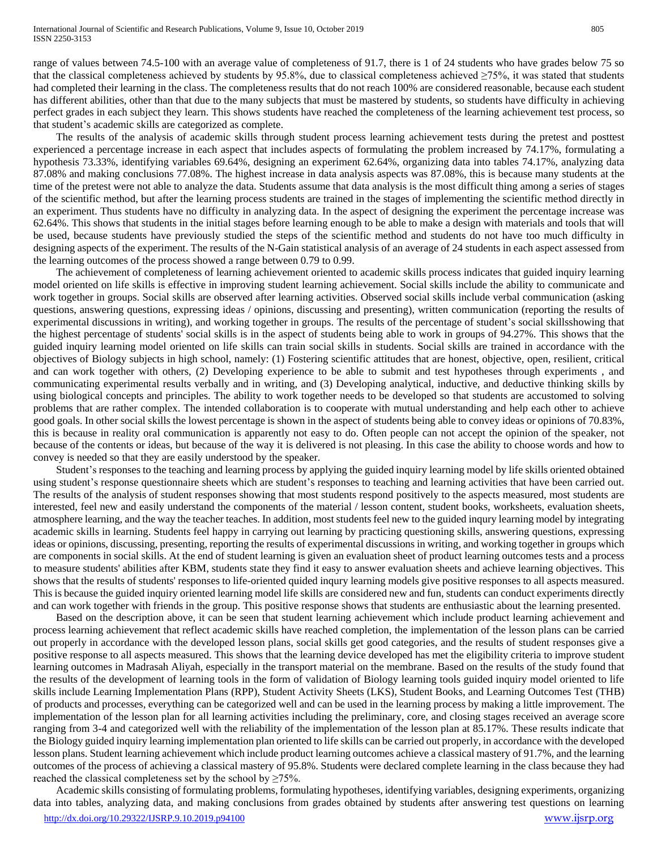range of values between 74.5-100 with an average value of completeness of 91.7, there is 1 of 24 students who have grades below 75 so that the classical completeness achieved by students by 95.8%, due to classical completeness achieved  $\geq$ 75%, it was stated that students had completed their learning in the class. The completeness results that do not reach 100% are considered reasonable, because each student has different abilities, other than that due to the many subjects that must be mastered by students, so students have difficulty in achieving perfect grades in each subject they learn. This shows students have reached the completeness of the learning achievement test process, so that student's academic skills are categorized as complete.

The results of the analysis of academic skills through student process learning achievement tests during the pretest and posttest experienced a percentage increase in each aspect that includes aspects of formulating the problem increased by 74.17%, formulating a hypothesis 73.33%, identifying variables 69.64%, designing an experiment 62.64%, organizing data into tables 74.17%, analyzing data 87.08% and making conclusions 77.08%. The highest increase in data analysis aspects was 87.08%, this is because many students at the time of the pretest were not able to analyze the data. Students assume that data analysis is the most difficult thing among a series of stages of the scientific method, but after the learning process students are trained in the stages of implementing the scientific method directly in an experiment. Thus students have no difficulty in analyzing data. In the aspect of designing the experiment the percentage increase was 62.64%. This shows that students in the initial stages before learning enough to be able to make a design with materials and tools that will be used, because students have previously studied the steps of the scientific method and students do not have too much difficulty in designing aspects of the experiment. The results of the N-Gain statistical analysis of an average of 24 students in each aspect assessed from the learning outcomes of the process showed a range between 0.79 to 0.99.

The achievement of completeness of learning achievement oriented to academic skills process indicates that guided inquiry learning model oriented on life skills is effective in improving student learning achievement. Social skills include the ability to communicate and work together in groups. Social skills are observed after learning activities. Observed social skills include verbal communication (asking questions, answering questions, expressing ideas / opinions, discussing and presenting), written communication (reporting the results of experimental discussions in writing), and working together in groups. The results of the percentage of student's social skillsshowing that the highest percentage of students' social skills is in the aspect of students being able to work in groups of 94.27%. This shows that the guided inquiry learning model oriented on life skills can train social skills in students. Social skills are trained in accordance with the objectives of Biology subjects in high school, namely: (1) Fostering scientific attitudes that are honest, objective, open, resilient, critical and can work together with others, (2) Developing experience to be able to submit and test hypotheses through experiments , and communicating experimental results verbally and in writing, and (3) Developing analytical, inductive, and deductive thinking skills by using biological concepts and principles. The ability to work together needs to be developed so that students are accustomed to solving problems that are rather complex. The intended collaboration is to cooperate with mutual understanding and help each other to achieve good goals. In other social skills the lowest percentage is shown in the aspect of students being able to convey ideas or opinions of 70.83%, this is because in reality oral communication is apparently not easy to do. Often people can not accept the opinion of the speaker, not because of the contents or ideas, but because of the way it is delivered is not pleasing. In this case the ability to choose words and how to convey is needed so that they are easily understood by the speaker.

Student's responses to the teaching and learning process by applying the guided inquiry learning model by life skills oriented obtained using student's response questionnaire sheets which are student's responses to teaching and learning activities that have been carried out. The results of the analysis of student responses showing that most students respond positively to the aspects measured, most students are interested, feel new and easily understand the components of the material / lesson content, student books, worksheets, evaluation sheets, atmosphere learning, and the way the teacher teaches. In addition, most students feel new to the guided inqury learning model by integrating academic skills in learning. Students feel happy in carrying out learning by practicing questioning skills, answering questions, expressing ideas or opinions, discussing, presenting, reporting the results of experimental discussions in writing, and working together in groups which are components in social skills. At the end of student learning is given an evaluation sheet of product learning outcomes tests and a process to measure students' abilities after KBM, students state they find it easy to answer evaluation sheets and achieve learning objectives. This shows that the results of students' responses to life-oriented quided inqury learning models give positive responses to all aspects measured. This is because the guided inquiry oriented learning model life skills are considered new and fun, students can conduct experiments directly and can work together with friends in the group. This positive response shows that students are enthusiastic about the learning presented.

Based on the description above, it can be seen that student learning achievement which include product learning achievement and process learning achievement that reflect academic skills have reached completion, the implementation of the lesson plans can be carried out properly in accordance with the developed lesson plans, social skills get good categories, and the results of student responses give a positive response to all aspects measured. This shows that the learning device developed has met the eligibility criteria to improve student learning outcomes in Madrasah Aliyah, especially in the transport material on the membrane. Based on the results of the study found that the results of the development of learning tools in the form of validation of Biology learning tools guided inquiry model oriented to life skills include Learning Implementation Plans (RPP), Student Activity Sheets (LKS), Student Books, and Learning Outcomes Test (THB) of products and processes, everything can be categorized well and can be used in the learning process by making a little improvement. The implementation of the lesson plan for all learning activities including the preliminary, core, and closing stages received an average score ranging from 3-4 and categorized well with the reliability of the implementation of the lesson plan at 85.17%. These results indicate that the Biology guided inquiry learning implementation plan oriented to life skills can be carried out properly, in accordance with the developed lesson plans. Student learning achievement which include product learning outcomes achieve a classical mastery of 91.7%, and the learning outcomes of the process of achieving a classical mastery of 95.8%. Students were declared complete learning in the class because they had reached the classical completeness set by the school by  $\geq 75\%$ .

<http://dx.doi.org/10.29322/IJSRP.9.10.2019.p94100> [www.ijsrp.org](http://ijsrp.org/) Academic skills consisting of formulating problems, formulating hypotheses, identifying variables, designing experiments, organizing data into tables, analyzing data, and making conclusions from grades obtained by students after answering test questions on learning